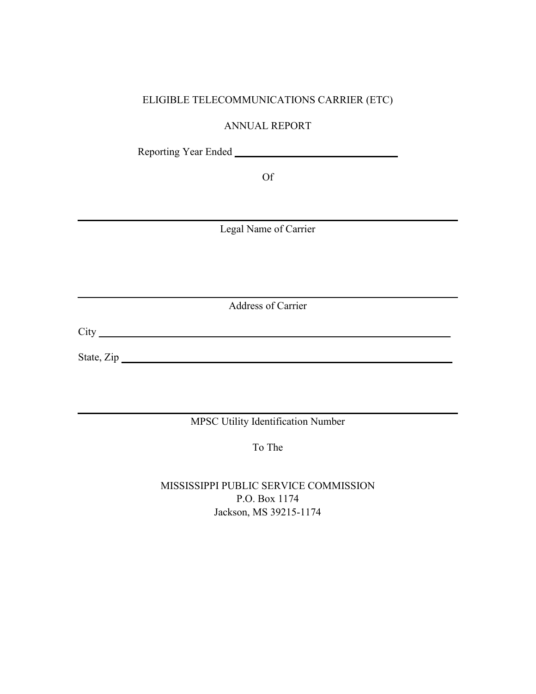## ELIGIBLE TELECOMMUNICATIONS CARRIER (ETC)

ANNUAL REPORT

Reporting Year Ended **\_\_\_\_\_\_\_\_\_\_\_\_\_\_\_\_\_\_\_\_\_\_\_\_\_\_\_\_\_\_\_**

Of

Legal Name of Carrier

Address of Carrier

City **\_\_\_\_\_\_\_\_\_\_\_\_\_\_\_\_\_\_\_\_\_\_\_\_\_\_\_\_\_\_\_\_\_\_\_\_\_\_\_\_\_\_\_\_\_\_\_\_\_\_\_\_\_\_\_\_\_\_\_\_\_\_\_\_\_\_\_**

State, Zip **\_\_\_\_\_\_\_\_\_\_\_\_\_\_\_\_\_\_\_\_\_\_\_\_\_\_\_\_\_\_\_\_\_\_\_\_\_\_\_\_\_\_\_\_\_\_\_\_\_\_\_\_\_\_\_\_\_\_\_\_\_\_\_**

MPSC Utility Identification Number

To The

MISSISSIPPI PUBLIC SERVICE COMMISSION P.O. Box 1174 Jackson, MS 39215-1174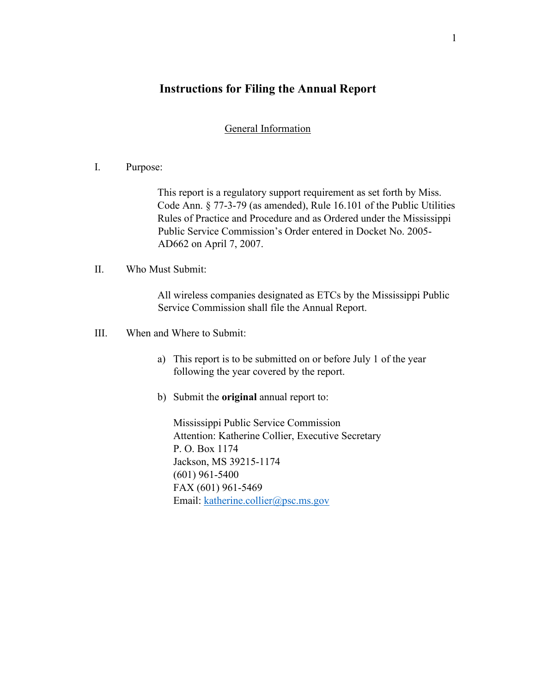# **Instructions for Filing the Annual Report**

## General Information

#### I. Purpose:

This report is a regulatory support requirement as set forth by Miss. Code Ann. § 77-3-79 (as amended), Rule 16.101 of the Public Utilities Rules of Practice and Procedure and as Ordered under the Mississippi Public Service Commission's Order entered in Docket No. 2005- AD662 on April 7, 2007.

#### II. Who Must Submit:

All wireless companies designated as ETCs by the Mississippi Public Service Commission shall file the Annual Report.

- III. When and Where to Submit:
	- a) This report is to be submitted on or before July 1 of the year following the year covered by the report.
	- b) Submit the **original** annual report to:

Mississippi Public Service Commission Attention: Katherine Collier, Executive Secretary P. O. Box 1174 Jackson, MS 39215-1174 (601) 961-5400 FAX (601) 961-5469 Email: [katherine.collier@psc.ms.gov](mailto:katherine.collier@psc.ms.gov)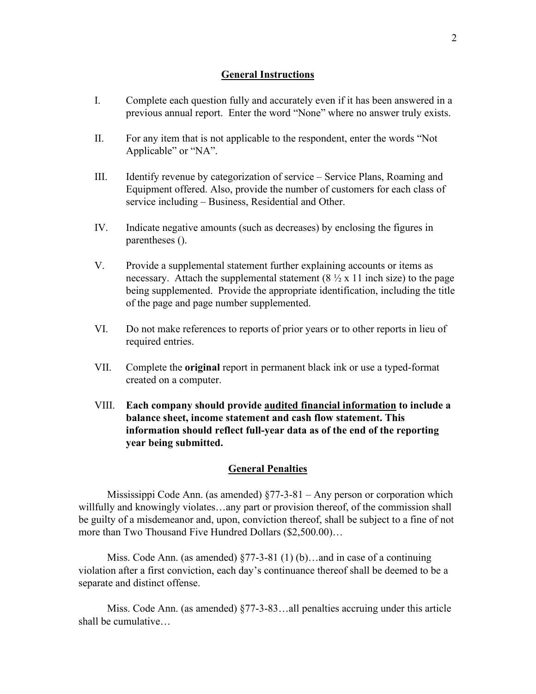#### **General Instructions**

- I. Complete each question fully and accurately even if it has been answered in a previous annual report. Enter the word "None" where no answer truly exists.
- II. For any item that is not applicable to the respondent, enter the words "Not Applicable" or "NA".
- III. Identify revenue by categorization of service Service Plans, Roaming and Equipment offered. Also, provide the number of customers for each class of service including – Business, Residential and Other.
- IV. Indicate negative amounts (such as decreases) by enclosing the figures in parentheses ().
- V. Provide a supplemental statement further explaining accounts or items as necessary. Attach the supplemental statement  $(8 \frac{1}{2} \times 11)$  inch size) to the page being supplemented. Provide the appropriate identification, including the title of the page and page number supplemented.
- VI. Do not make references to reports of prior years or to other reports in lieu of required entries.
- VII. Complete the **original** report in permanent black ink or use a typed-format created on a computer.
- VIII. **Each company should provide audited financial information to include a balance sheet, income statement and cash flow statement. This information should reflect full-year data as of the end of the reporting year being submitted.**

#### **General Penalties**

 Mississippi Code Ann. (as amended) §77-3-81 – Any person or corporation which willfully and knowingly violates…any part or provision thereof, of the commission shall be guilty of a misdemeanor and, upon, conviction thereof, shall be subject to a fine of not more than Two Thousand Five Hundred Dollars (\$2,500.00)…

 Miss. Code Ann. (as amended) §77-3-81 (1) (b)…and in case of a continuing violation after a first conviction, each day's continuance thereof shall be deemed to be a separate and distinct offense.

 Miss. Code Ann. (as amended) §77-3-83…all penalties accruing under this article shall be cumulative…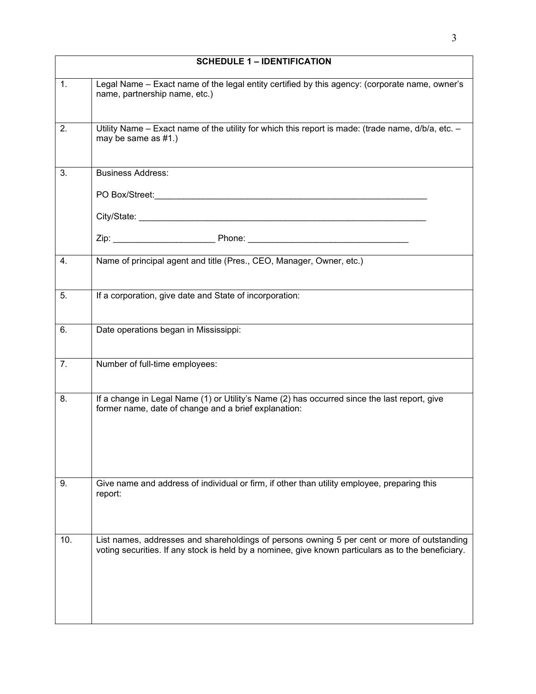|     | <b>SCHEDULE 1 - IDENTIFICATION</b>                                                                                                                                                                                             |
|-----|--------------------------------------------------------------------------------------------------------------------------------------------------------------------------------------------------------------------------------|
| 1.  | Legal Name - Exact name of the legal entity certified by this agency: (corporate name, owner's<br>name, partnership name, etc.)                                                                                                |
| 2.  | Utility Name - Exact name of the utility for which this report is made: (trade name, d/b/a, etc. -<br>may be same as $#1$ .)                                                                                                   |
| 3.  | <b>Business Address:</b>                                                                                                                                                                                                       |
|     | PO Box/Street: Note of the Contract of the Contract of the Contract of the Contract of the Contract of the Contract of the Contract of the Contract of the Contract of the Contract of the Contract of the Contract of the Con |
|     |                                                                                                                                                                                                                                |
|     |                                                                                                                                                                                                                                |
| 4.  | Name of principal agent and title (Pres., CEO, Manager, Owner, etc.)                                                                                                                                                           |
| 5.  | If a corporation, give date and State of incorporation:                                                                                                                                                                        |
| 6.  | Date operations began in Mississippi:                                                                                                                                                                                          |
| 7.  | Number of full-time employees:                                                                                                                                                                                                 |
| 8.  | If a change in Legal Name (1) or Utility's Name (2) has occurred since the last report, give<br>former name, date of change and a brief explanation:                                                                           |
| 9.  | Give name and address of individual or firm, if other than utility employee, preparing this<br>report:                                                                                                                         |
| 10. | List names, addresses and shareholdings of persons owning 5 per cent or more of outstanding<br>voting securities. If any stock is held by a nominee, give known particulars as to the beneficiary.                             |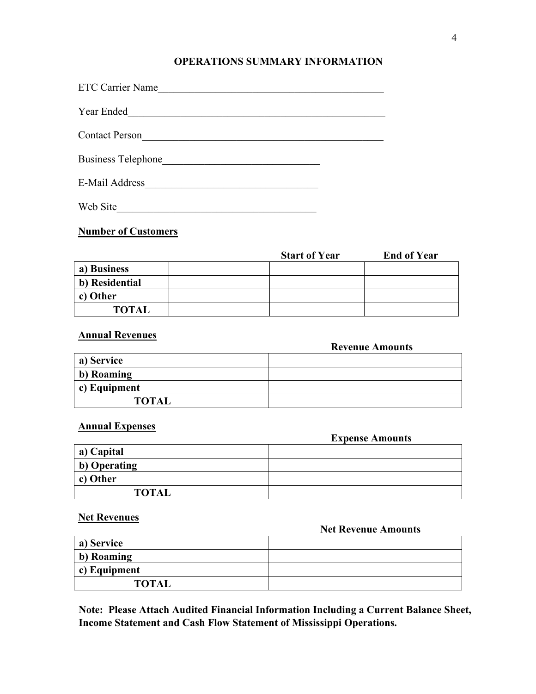### **OPERATIONS SUMMARY INFORMATION**

| <b>ETC Carrier Name</b>   |
|---------------------------|
| Year Ended                |
| <b>Contact Person</b>     |
| <b>Business Telephone</b> |

E-Mail Address\_\_\_\_\_\_\_\_\_\_\_\_\_\_\_\_\_\_\_\_\_\_\_\_\_\_\_\_\_\_\_\_\_

Web Site\_\_\_\_\_\_\_\_\_\_\_\_\_\_\_\_\_\_\_\_\_\_\_\_\_\_\_\_\_\_\_\_\_\_\_\_\_\_

# **Number of Customers**

|                | <b>Start of Year</b> | <b>End of Year</b> |
|----------------|----------------------|--------------------|
| a) Business    |                      |                    |
| b) Residential |                      |                    |
| c) Other       |                      |                    |
| <b>TOTAL</b>   |                      |                    |

## **Annual Revenues**

|              | <b>Revenue Amounts</b> |
|--------------|------------------------|
| a) Service   |                        |
| b) Roaming   |                        |
| c) Equipment |                        |
| <b>TOTAL</b> |                        |

#### **Annual Expenses**

|              | <b>Expense Amounts</b> |
|--------------|------------------------|
| a) Capital   |                        |
| b) Operating |                        |
| c) Other     |                        |
| <b>TOTAL</b> |                        |

#### **Net Revenues**

#### **Net Revenue Amounts**

| a) Service   |  |
|--------------|--|
| b) Roaming   |  |
| c) Equipment |  |
| <b>TOTAL</b> |  |

**Note: Please Attach Audited Financial Information Including a Current Balance Sheet, Income Statement and Cash Flow Statement of Mississippi Operations.**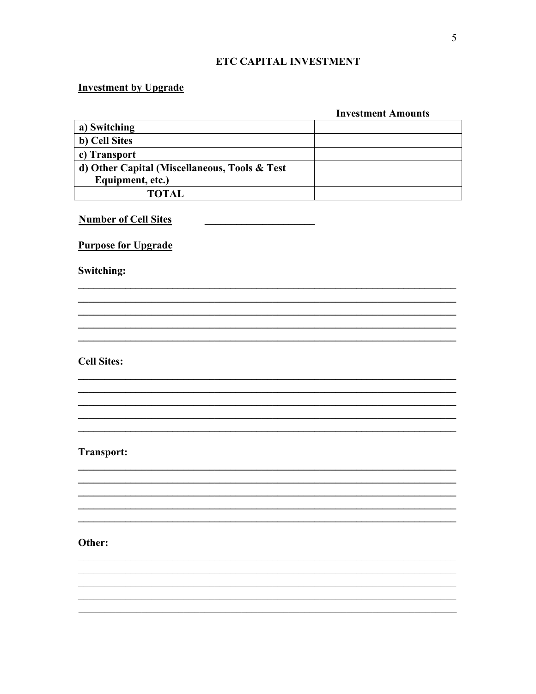# ETC CAPITAL INVESTMENT

## **Investment by Upgrade**

|                                               | <b>Investment Amounts</b> |
|-----------------------------------------------|---------------------------|
| a) Switching                                  |                           |
| b) Cell Sites                                 |                           |
| c) Transport                                  |                           |
| d) Other Capital (Miscellaneous, Tools & Test |                           |
| Equipment, etc.)                              |                           |
| <b>TOTAL</b>                                  |                           |
| <b>Number of Cell Sites</b>                   |                           |
| <b>Purpose for Upgrade</b>                    |                           |
| Switching:                                    |                           |
|                                               |                           |
|                                               |                           |
|                                               |                           |
|                                               |                           |
|                                               |                           |

**Cell Sites:** 

# **Transport:**

## Other: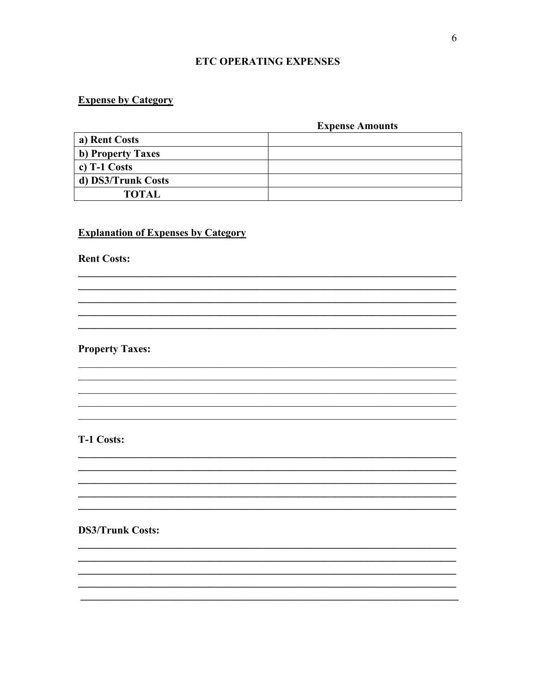### **ETC OPERATING EXPENSES**

## **Expense by Category**

#### **Expense Amounts**

| a) Rent Costs      |  |
|--------------------|--|
| b) Property Taxes  |  |
| c) $T-1$ Costs     |  |
| d) DS3/Trunk Costs |  |
| <b>TOTAL</b>       |  |

<u> 1989 - Johann Harry Harry Harry Harry Harry Harry Harry Harry Harry Harry Harry Harry Harry Harry Harry Harry</u>

# **Explanation of Expenses by Category**

**Rent Costs:** 

**Property Taxes:** 

# T-1 Costs:

**DS3/Trunk Costs:**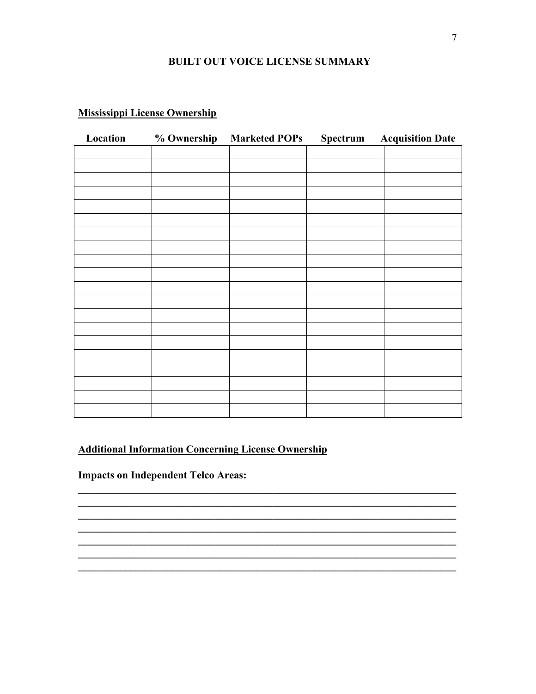#### **BUILT OUT VOICE LICENSE SUMMARY**

# **Mississippi License Ownership**

| Location | % Ownership | <b>Marketed POPs</b> | <b>Spectrum</b> Acquisition Date |
|----------|-------------|----------------------|----------------------------------|
|          |             |                      |                                  |
|          |             |                      |                                  |
|          |             |                      |                                  |
|          |             |                      |                                  |
|          |             |                      |                                  |
|          |             |                      |                                  |
|          |             |                      |                                  |
|          |             |                      |                                  |
|          |             |                      |                                  |
|          |             |                      |                                  |
|          |             |                      |                                  |
|          |             |                      |                                  |
|          |             |                      |                                  |
|          |             |                      |                                  |
|          |             |                      |                                  |
|          |             |                      |                                  |
|          |             |                      |                                  |
|          |             |                      |                                  |
|          |             |                      |                                  |
|          |             |                      |                                  |

# **Additional Information Concerning License Ownership**

**Impacts on Independent Telco Areas:**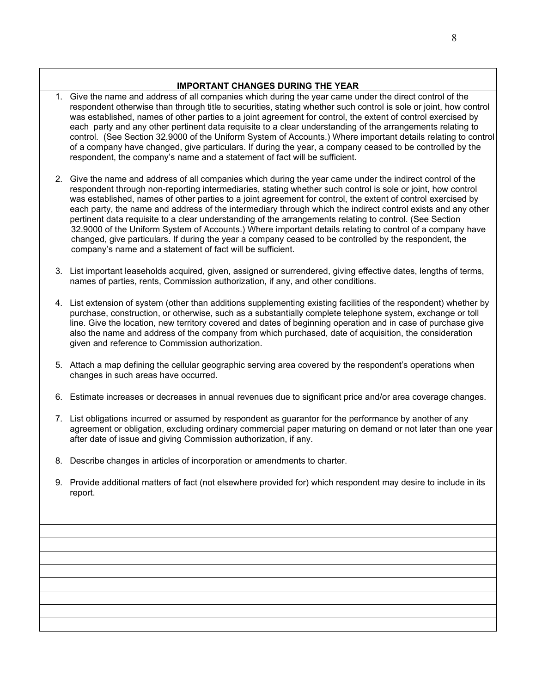#### **IMPORTANT CHANGES DURING THE YEAR**

- 1. Give the name and address of all companies which during the year came under the direct control of the respondent otherwise than through title to securities, stating whether such control is sole or joint, how control was established, names of other parties to a joint agreement for control, the extent of control exercised by each party and any other pertinent data requisite to a clear understanding of the arrangements relating to control. (See Section 32.9000 of the Uniform System of Accounts.) Where important details relating to control of a company have changed, give particulars. If during the year, a company ceased to be controlled by the respondent, the company's name and a statement of fact will be sufficient.
- 2. Give the name and address of all companies which during the year came under the indirect control of the respondent through non-reporting intermediaries, stating whether such control is sole or joint, how control was established, names of other parties to a joint agreement for control, the extent of control exercised by each party, the name and address of the intermediary through which the indirect control exists and any other pertinent data requisite to a clear understanding of the arrangements relating to control. (See Section 32.9000 of the Uniform System of Accounts.) Where important details relating to control of a company have changed, give particulars. If during the year a company ceased to be controlled by the respondent, the company's name and a statement of fact will be sufficient.
- 3. List important leaseholds acquired, given, assigned or surrendered, giving effective dates, lengths of terms, names of parties, rents, Commission authorization, if any, and other conditions.
- 4. List extension of system (other than additions supplementing existing facilities of the respondent) whether by purchase, construction, or otherwise, such as a substantially complete telephone system, exchange or toll line. Give the location, new territory covered and dates of beginning operation and in case of purchase give also the name and address of the company from which purchased, date of acquisition, the consideration given and reference to Commission authorization.
- 5. Attach a map defining the cellular geographic serving area covered by the respondent's operations when changes in such areas have occurred.
- 6. Estimate increases or decreases in annual revenues due to significant price and/or area coverage changes.
- 7. List obligations incurred or assumed by respondent as guarantor for the performance by another of any agreement or obligation, excluding ordinary commercial paper maturing on demand or not later than one year after date of issue and giving Commission authorization, if any.
- 8. Describe changes in articles of incorporation or amendments to charter.
- 9. Provide additional matters of fact (not elsewhere provided for) which respondent may desire to include in its report.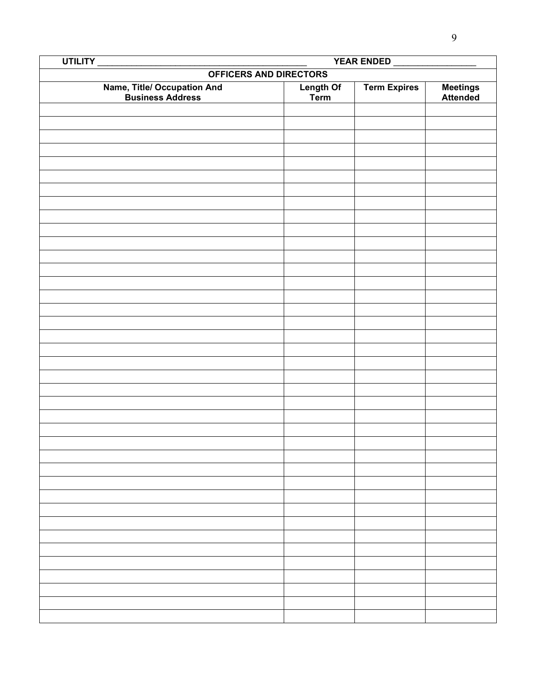| UTILITY<br>YEAR ENDED                                   |                        |                     |                      |  |
|---------------------------------------------------------|------------------------|---------------------|----------------------|--|
|                                                         | OFFICERS AND DIRECTORS |                     |                      |  |
| <b>Name, Title/ Occupation And<br/>Business Address</b> | Length Of<br>Term      | <b>Term Expires</b> | Meetings<br>Attended |  |
|                                                         |                        |                     |                      |  |
|                                                         |                        |                     |                      |  |
|                                                         |                        |                     |                      |  |
|                                                         |                        |                     |                      |  |
|                                                         |                        |                     |                      |  |
|                                                         |                        |                     |                      |  |
|                                                         |                        |                     |                      |  |
|                                                         |                        |                     |                      |  |
|                                                         |                        |                     |                      |  |
|                                                         |                        |                     |                      |  |
|                                                         |                        |                     |                      |  |
|                                                         |                        |                     |                      |  |
|                                                         |                        |                     |                      |  |
|                                                         |                        |                     |                      |  |
|                                                         |                        |                     |                      |  |
|                                                         |                        |                     |                      |  |
|                                                         |                        |                     |                      |  |
|                                                         |                        |                     |                      |  |
|                                                         |                        |                     |                      |  |
|                                                         |                        |                     |                      |  |
|                                                         |                        |                     |                      |  |
|                                                         |                        |                     |                      |  |
|                                                         |                        |                     |                      |  |
|                                                         |                        |                     |                      |  |
|                                                         |                        |                     |                      |  |
|                                                         |                        |                     |                      |  |
|                                                         |                        |                     |                      |  |
|                                                         |                        |                     |                      |  |
|                                                         |                        |                     |                      |  |
|                                                         |                        |                     |                      |  |
|                                                         |                        |                     |                      |  |
|                                                         |                        |                     |                      |  |
|                                                         |                        |                     |                      |  |
|                                                         |                        |                     |                      |  |
|                                                         |                        |                     |                      |  |
|                                                         |                        |                     |                      |  |
|                                                         |                        |                     |                      |  |
|                                                         |                        |                     |                      |  |
|                                                         |                        |                     |                      |  |
|                                                         |                        |                     |                      |  |